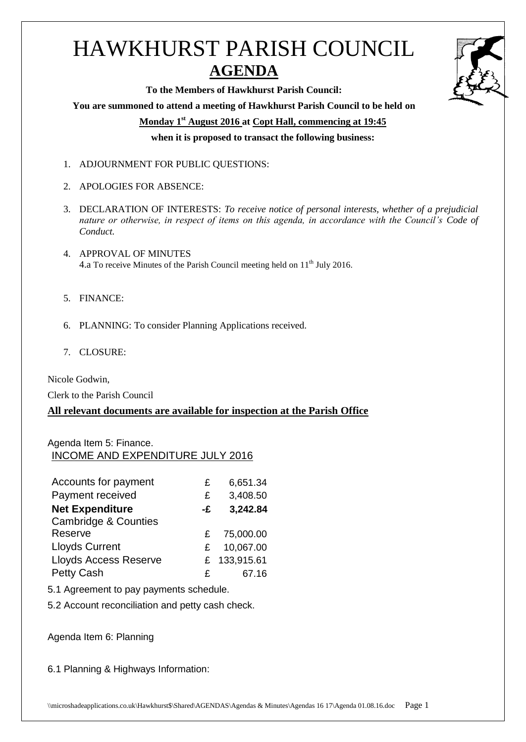# HAWKHURST PARISH COUNCIL **AGENDA**

**To the Members of Hawkhurst Parish Council: You are summoned to attend a meeting of Hawkhurst Parish Council to be held on Monday 1 st August 2016 at Copt Hall, commencing at 19:45 when it is proposed to transact the following business:**

- 1. ADJOURNMENT FOR PUBLIC QUESTIONS:
- 2. APOLOGIES FOR ABSENCE:
- 3. DECLARATION OF INTERESTS: *To receive notice of personal interests, whether of a prejudicial nature or otherwise, in respect of items on this agenda, in accordance with the Council's Code of Conduct.*
- 4. APPROVAL OF MINUTES 4.a To receive Minutes of the Parish Council meeting held on 11<sup>th</sup> July 2016.
- 5. FINANCE:
- 6. PLANNING: To consider Planning Applications received.
- 7. CLOSURE:

Nicole Godwin,

Clerk to the Parish Council

## **All relevant documents are available for inspection at the Parish Office**

### Agenda Item 5: Finance. INCOME AND EXPENDITURE JULY 2016

| Accounts for payment            | £  | 6,651.34     |
|---------------------------------|----|--------------|
| Payment received                | £  | 3,408.50     |
| <b>Net Expenditure</b>          | -£ | 3,242.84     |
| <b>Cambridge &amp; Counties</b> |    |              |
| Reserve                         | £  | 75,000.00    |
| <b>Lloyds Current</b>           | £  | 10,067.00    |
| <b>Lloyds Access Reserve</b>    |    | £ 133,915.61 |
| <b>Petty Cash</b>               | £  | 67.16        |

5.1 Agreement to pay payments schedule.

5.2 Account reconciliation and petty cash check.

Agenda Item 6: Planning

6.1 Planning & Highways Information:

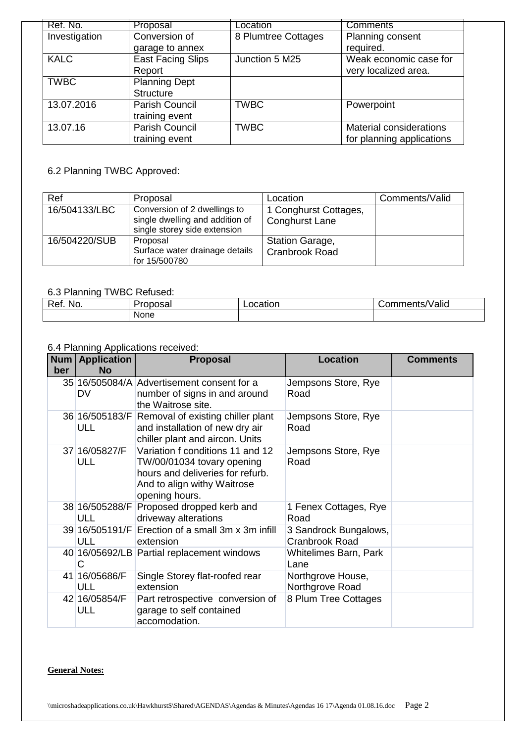| Ref. No.      | Proposal                 | Location            | <b>Comments</b>           |
|---------------|--------------------------|---------------------|---------------------------|
| Investigation | Conversion of            | 8 Plumtree Cottages | Planning consent          |
|               | garage to annex          |                     | required.                 |
| <b>KALC</b>   | <b>East Facing Slips</b> | Junction 5 M25      | Weak economic case for    |
|               | Report                   |                     | very localized area.      |
| <b>TWBC</b>   | <b>Planning Dept</b>     |                     |                           |
|               | <b>Structure</b>         |                     |                           |
| 13.07.2016    | Parish Council           | <b>TWBC</b>         | Powerpoint                |
|               | training event           |                     |                           |
| 13.07.16      | Parish Council           | <b>TWBC</b>         | Material considerations   |
|               | training event           |                     | for planning applications |

## 6.2 Planning TWBC Approved:

| Ref           | Proposal                                                                                        | Location                                        | Comments/Valid |
|---------------|-------------------------------------------------------------------------------------------------|-------------------------------------------------|----------------|
| 16/504133/LBC | Conversion of 2 dwellings to<br>single dwelling and addition of<br>single storey side extension | 1 Conghurst Cottages,<br><b>Conghurst Lane</b>  |                |
| 16/504220/SUB | Proposal<br>Surface water drainage details<br>for 15/500780                                     | <b>Station Garage,</b><br><b>Cranbrook Road</b> |                |

#### 6.3 Planning TWBC Refused:

| $\overline{\phantom{0}}$<br>◡◠<br>NO. | 1.000000<br>31 36<br>bal | ocation | .<br>$\mathbf{r}$<br>'Valid<br>.<br>nments/ |
|---------------------------------------|--------------------------|---------|---------------------------------------------|
|                                       | None                     |         |                                             |

#### 6.4 Planning Applications received:

| <b>Num</b><br>ber | <b>Application</b><br>No     | Proposal                                                                                                                                            | <b>Location</b>                                | <b>Comments</b> |
|-------------------|------------------------------|-----------------------------------------------------------------------------------------------------------------------------------------------------|------------------------------------------------|-----------------|
|                   | DV                           | 35 16/505084/A Advertisement consent for a<br>number of signs in and around<br>the Waitrose site.                                                   | Jempsons Store, Rye<br>Road                    |                 |
|                   | 36 16/505183/F<br>ULL        | Removal of existing chiller plant<br>and installation of new dry air<br>chiller plant and aircon. Units                                             | Jempsons Store, Rye<br>Road                    |                 |
|                   | 37 16/05827/F<br><b>ULL</b>  | Variation f conditions 11 and 12<br>TW/00/01034 tovary opening<br>hours and deliveries for refurb.<br>And to align withy Waitrose<br>opening hours. | Jempsons Store, Rye<br>Road                    |                 |
|                   | 38 16/505288/F<br><b>ULL</b> | Proposed dropped kerb and<br>driveway alterations                                                                                                   | 1 Fenex Cottages, Rye<br>Road                  |                 |
|                   | <b>ULL</b>                   | 39 16/505191/F Erection of a small 3m x 3m infill<br>extension                                                                                      | 3 Sandrock Bungalows,<br><b>Cranbrook Road</b> |                 |
|                   | C                            | 40 16/05692/LB Partial replacement windows                                                                                                          | Whitelimes Barn, Park<br>Lane                  |                 |
|                   | 41 16/05686/F<br><b>ULL</b>  | Single Storey flat-roofed rear<br>extension                                                                                                         | Northgrove House,<br>Northgrove Road           |                 |
|                   | 42 16/05854/F<br><b>ULL</b>  | Part retrospective conversion of<br>garage to self contained<br>accomodation.                                                                       | 8 Plum Tree Cottages                           |                 |

#### **General Notes:**